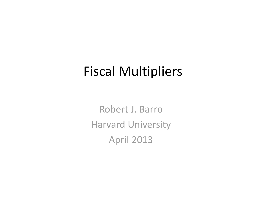### Fiscal Multipliers

Robert J. BarroHarvard University April 2013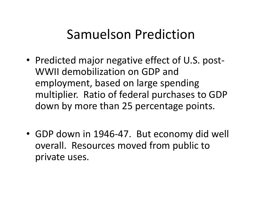#### Samuelson Prediction

- Predicted major negative effect of U.S. post -WWII demobilization on GDP and employment, based on large spending multiplier. Ratio of federal purchases to GDP down by more than 25 percentage points.
- GDP down in 1946-47. But economy did well overall. Resources moved from public to private uses.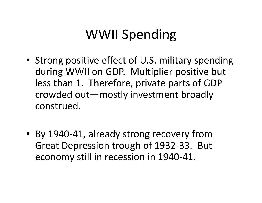## WWII Spending

- Strong positive effect of U.S. military spending during WWII on GDP. Multiplier positive but less than 1. Therefore, private parts of GDP crowded out—mostly investment broadly construed.
- By 1940-41, already strong recovery from Great Depression trough of 1932-33. But economy still in recession in 1940-41.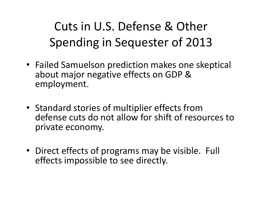### Cuts in U.S. Defense & Other Spending in Sequester of 2013

- Failed Samuelson prediction makes one skeptical about major negative effects on GDP & employment.
- Standard stories of multiplier effects from defense cuts do not allow for shift of resources to private economy.
- Direct effects of programs may be visible. Full effects impossible to see directly.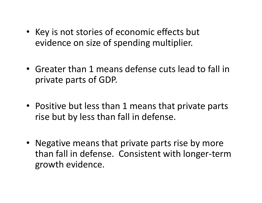- Key is not stories of economic effects but evidence on size of spending multiplier.
- Greater than 1 means defense cuts lead to fall in private parts of GDP.
- Positive but less than 1 means that private parts rise but by less than fall in defense.
- Negative means that private parts rise by more than fall in defense. Consistent with longer-term growth evidence.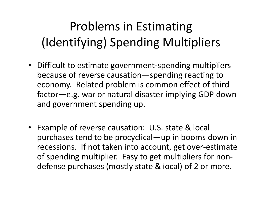### Problems in Estimating (Identifying) Spending Multipliers

- Difficult to estimate government-spending multipliers because of reverse causation—spending reacting to economy. Related problem is common effect of third factor—e.g. war or natural disaster implying GDP down and government spending up.
- Example of reverse causation: U.S. state & local purchases tend to be procyclical—up in booms down in recessions. If not taken into account, get over-estimate of spending multiplier. Easy to get multipliers for nondefense purchases (mostly state & local) of 2 or more.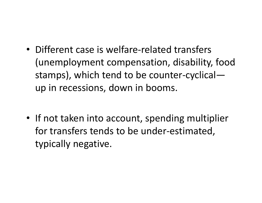- Different case is welfare-related transfers (unemployment compensation, disability, food stamps), which tend to be counter-cyclical up in recessions, down in booms.
- If not taken into account, spending multiplier for transfers tends to be under-estimated, typically negative.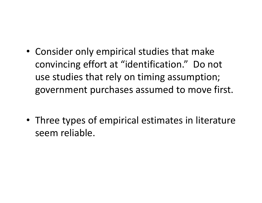- Consider only empirical studies that make convincing effort at "identification." Do not use studies that rely on timing assumption; government purchases assumed to move first.
- Three types of empirical estimates in literature seem reliable.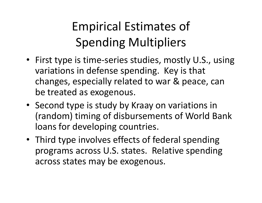### Empirical Estimates of **Spending Multipliers**

- First type is time-series studies, mostly U.S., using variations in defense spending. Key is that changes, especially related to war & peace, can be treated as exogenous.
- Second type is study by Kraay on variations in (random) timing of disbursements of World Bank loans for developing countries.
- Third type involves effects of federal spending programs across U.S. states. Relative spending across states may be exogenous.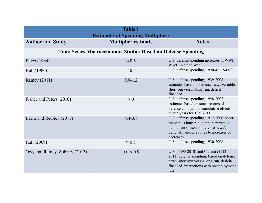| <b>Table 1</b><br><b>Estimates of Spending Multipliers</b>         |                            |                                                                                                                                                                                    |  |
|--------------------------------------------------------------------|----------------------------|------------------------------------------------------------------------------------------------------------------------------------------------------------------------------------|--|
| <b>Author and Study</b>                                            | <b>Multiplier estimate</b> | <b>Notes</b>                                                                                                                                                                       |  |
| <b>Time-Series Macroeconomic Studies Based on Defense Spending</b> |                            |                                                                                                                                                                                    |  |
| Barro (1984)                                                       | $\approx 0.6$              | U.S. defense spending increases in WWI,<br>WWII, Korean War.                                                                                                                       |  |
| Hall (1986)                                                        | $\approx 0.6$              | U.S. defense spending, 1920-42, 1947-82.                                                                                                                                           |  |
| Ramey (2011)                                                       | $0.6 - 1.2$                | U.S. defense spending, 1939-2008,<br>estimates based on defense-news variable,<br>short-run versus long-run, deficit-<br>financed.                                                 |  |
| Fisher and Peters (2010)                                           | > 0                        | U.S. defense spending, 1948-2007,<br>estimates based on stock returns of<br>defense contractors, cumulative effects<br>over 5 years for 1959-2007.                                 |  |
| Barro and Redlick (2011)                                           | $0.4 - 0.8$                | U.S. defense spending, 1917-2006, short-<br>run versus long-run, temporary versus<br>permanent (based on defense news),<br>deficit-financed, applies to increases or<br>decreases. |  |
| Hall (2009)                                                        | $\approx 0.5$              | U.S. defense spending, 1930-2008.                                                                                                                                                  |  |
| Owyang, Ramey, Zubairy (2013)                                      | $\approx 0.6 - 0.9$        | U.S. (1890-2010) and Canada (1922-<br>2011) defense spending, based on defense<br>news, short-run versus long-run, deficit-<br>financed, interactions with unemployment<br>rate.   |  |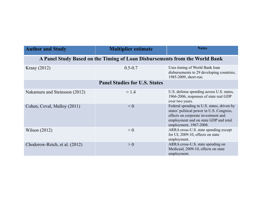| <b>Author and Study</b>                                                     | <b>Multiplier estimate</b> | <b>Notes</b>                                                                                                                                                                                      |  |
|-----------------------------------------------------------------------------|----------------------------|---------------------------------------------------------------------------------------------------------------------------------------------------------------------------------------------------|--|
| A Panel Study Based on the Timing of Loan Disbursements from the World Bank |                            |                                                                                                                                                                                                   |  |
| Kraay $(2012)$                                                              | $0.5 - 0.7$                | Uses timing of World Bank loan<br>disbursements to 29 developing countries,<br>1985-2009, short-run.                                                                                              |  |
| <b>Panel Studies for U.S. States</b>                                        |                            |                                                                                                                                                                                                   |  |
| Nakamura and Steinsson (2012)                                               | $\approx$ 1.4              | U.S. defense spending across U.S. states,<br>1966-2006, responses of state real GDP<br>over two years.                                                                                            |  |
| Cohen, Coval, Malloy (2011)                                                 | $\leq 0$                   | Federal spending in U.S. states, driven by<br>states' political power in U.S. Congress,<br>effects on corporate investment and<br>employment and on state GDP and total<br>employment, 1967-2008. |  |
| Wilson $(2012)$                                                             | > 0                        | ARRA cross-U.S. state spending except<br>for UI, 2009-10, effects on state<br>employment.                                                                                                         |  |
| Chodorow-Reich, et al. (2012)                                               | > 0                        | ARRA cross-U.S. state spending on<br>Medicaid, 2009-10, effects on state<br>employment.                                                                                                           |  |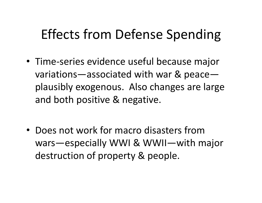## Effects from Defense Spending

- Time-series evidence useful because major variations—associated with war & peace plausibly exogenous. Also changes are large and both positive & negative.
- Does not work for macro disasters from wars—especially WWI & WWII—with major destruction of property & people.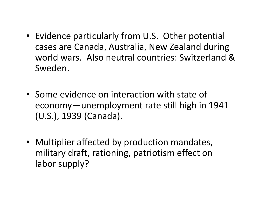- Evidence particularly from U.S. Other potential cases are Canada, Australia, New Zealand during world wars. Also neutral countries: Switzerland & Sweden.
- Some evidence on interaction with state of economy—unemployment rate still high in 1941 (U.S.), 1939 (Canada).
- Multiplier affected by production mandates, military draft, rationing, patriotism effect on labor supply?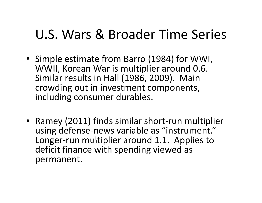### U.S. Wars & Broader Time Series

- Simple estimate from Barro (1984) for WWI, WWII, Korean War is multiplier around 0.6. Similar results in Hall (1986, 2009). Main crowding out in investment components, including consumer durables.
- Ramey (2011) finds similar short-run multiplier using defense-news variable as "instrument." Longer-run multiplier around 1.1. Applies to deficit finance with spending viewed as permanent.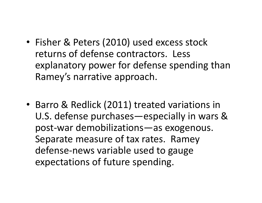- Fisher & Peters (2010) used excess stock returns of defense contractors. Less explanatory power for defense spending than Ramey's narrative approach.
- Barro & Redlick (2011) treated variations in U.S. defense purchases—especially in wars & post-war demobilizations—as exogenous. Separate measure of tax rates. Ramey defense-news variable used to gauge expectations of future spending.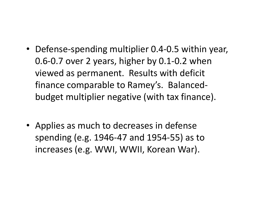- Defense-spending multiplier 0.4-0.5 within year, 0.6-0.7 over 2 years, higher by 0.1-0.2 when viewed as permanent. Results with deficit finance comparable to Ramey's. Balancedbudget multiplier negative (with tax finance).
- Applies as much to decreases in defense spending (e.g. 1946-47 and 1954-55) as to increases (e.g. WWI, WWII, Korean War).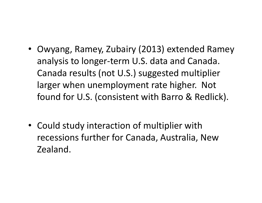- Owyang, Ramey, Zubairy (2013) extended Ramey analysis to longer-term U.S. data and Canada. Canada results (not U.S.) suggested multiplier larger when unemployment rate higher. Not found for U.S. (consistent with Barro & Redlick).
- Could study interaction of multiplier with recessions further for Canada, Australia, New Zealand.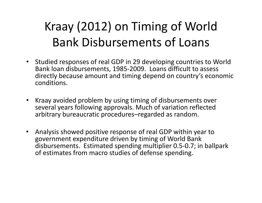### Kraay (2012) on Timing of World Bank Disbursements of Loans

- Studied responses of real GDP in 29 developing countries to World Bank loan disbursements, 1985-2009. Loans difficult to assess directly because amount and timing depend on country's economic conditions.
- Kraay avoided problem by using timing of disbursements over several years following approvals. Much of variation reflected arbitrary bureaucratic procedures–regarded as random.
- • Analysis showed positive response of real GDP within year to government expenditure driven by timing of World Bank disbursements. Estimated spending multiplier 0.5-0.7; in ballpark of estimates from macro studies of defense spending.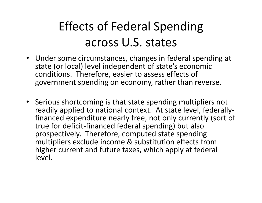#### Effects of Federal Spending across U.S. states

- Under some circumstances, changes in federal spending at state (or local) level independent of state's economic conditions. Therefore, easier to assess effects of government spending on economy, rather than reverse.
- Serious shortcoming is that state spending multipliers not readily applied to national context. At state level, federallyfinanced expenditure nearly free, not only currently (sort of true for deficit-financed federal spending) but also prospectively. Therefore, computed state spending multipliers exclude income & substitution effects from higher current and future taxes, which apply at federal level.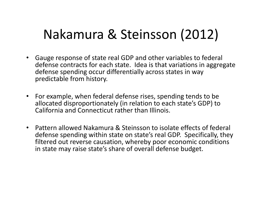### Nakamura & Steinsson (2012)

- Gauge response of state real GDP and other variables to federal defense contracts for each state. Idea is that variations in aggregate defense spending occur differentially across states in way predictable from history.
- For example, when federal defense rises, spending tends to be allocated disproportionately (in relation to each state's GDP) to California and Connecticut rather than Illinois.
- Pattern allowed Nakamura & Steinsson to isolate effects of federal defense spending within state on state's real GDP. Specifically, they filtered out reverse causation, whereby poor economic conditions in state may raise state's share of overall defense budget.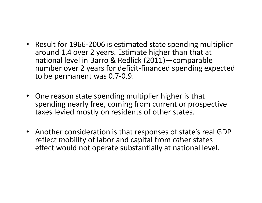- Result for 1966-2006 is estimated state spending multiplier around 1.4 over 2 years. Estimate higher than that at national level in Barro & Redlick (2011)—comparable number over 2 years for deficit-financed spending expected to be permanent was 0.7-0.9.
- One reason state spending multiplier higher is that spending nearly free, coming from current or prospective taxes levied mostly on residents of other states.
- Another consideration is that responses of state's real GDP reflect mobility of labor and capital from other stateseffect would not operate substantially at national level.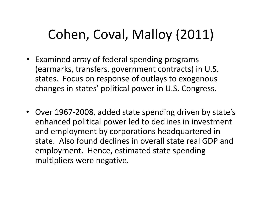### Cohen, Coval, Malloy (2011)

- Examined array of federal spending programs (earmarks, transfers, government contracts) in U.S. states. Focus on response of outlays to exogenous changes in states' political power in U.S. Congress.
- Over 1967-2008, added state spending driven by state's enhanced political power led to declines in investment and employment by corporations headquartered in state. Also found declines in overall state real GDP and employment. Hence, estimated state spending multipliers were negative.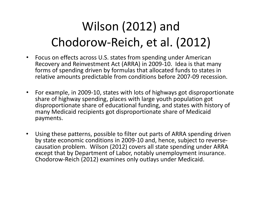### Wilson (2012) and Chodorow-Reich, et al. (2012)

- $\bullet$  Focus on effects across U.S. states from spending under American Recovery and Reinvestment Act (ARRA) in 2009-10. Idea is that many forms of spending driven by formulas that allocated funds to states in relative amounts predictable from conditions before 2007-09 recession.
- $\bullet$  For example, in 2009-10, states with lots of highways got disproportionate share of highway spending, places with large youth population got disproportionate share of educational funding, and states with history of many Medicaid recipients got disproportionate share of Medicaid payments.
- • Using these patterns, possible to filter out parts of ARRA spending driven by state economic conditions in 2009-10 and, hence, subject to reversecausation problem. Wilson (2012) covers all state spending under ARRA except that by Department of Labor, notably unemployment insurance. Chodorow-Reich (2012) examines only outlays under Medicaid.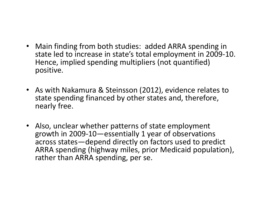- Main finding from both studies: added ARRA spending in state led to increase in state's total employment in 2009-10. Hence, implied spending multipliers (not quantified) positive.
- As with Nakamura & Steinsson (2012), evidence relates to state spending financed by other states and, therefore, nearly free.
- Also, unclear whether patterns of state employment growth in 2009-10—essentially 1 year of observations across states—depend directly on factors used to predict ARRA spending (highway miles, prior Medicaid population), rather than ARRA spending, per se.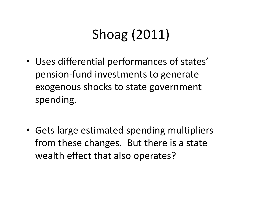# Shoag (2011)

- Uses differential performances of states' pension-fund investments to generate exogenous shocks to state government spending.
- Gets large estimated spending multipliers from these changes. But there is a state wealth effect that also operates?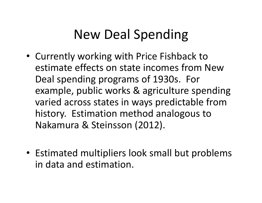### New Deal Spending

- Currently working with Price Fishback to estimate effects on state incomes from New Deal spending programs of 1930s. For example, public works & agriculture spending varied across states in ways predictable from history. Estimation method analogous to Nakamura & Steinsson (2012).
- Estimated multipliers look small but problems in data and estimation.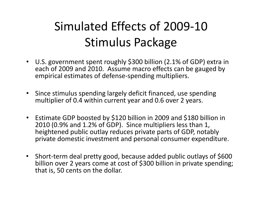### Simulated Effects of 2009-10Stimulus Package

- U.S. government spent roughly \$300 billion (2.1% of GDP) extra in each of 2009 and 2010. Assume macro effects can be gauged by empirical estimates of defense-spending multipliers.
- • Since stimulus spending largely deficit financed, use spending multiplier of 0.4 within current year and 0.6 over 2 years.
- Estimate GDP boosted by \$120 billion in 2009 and \$180 billion in 2010 (0.9% and 1.2% of GDP). Since multipliers less than 1, heightened public outlay reduces private parts of GDP, notably private domestic investment and personal consumer expenditure.
- Short-term deal pretty good, because added public outlays of \$600 billion over 2 years come at cost of \$300 billion in private spending; that is, 50 cents on the dollar.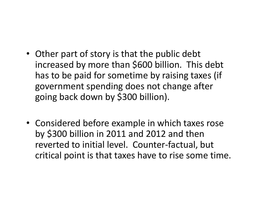- Other part of story is that the public debt increased by more than \$600 billion. This debt has to be paid for sometime by raising taxes (if government spending does not change after going back down by \$300 billion).
- Considered before example in which taxes rose by \$300 billion in 2011 and 2012 and then reverted to initial level. Counter-factual, but critical point is that taxes have to rise some time.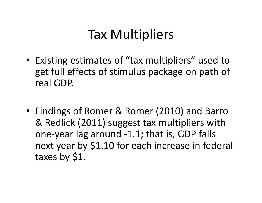### Tax Multipliers

- Existing estimates of "tax multipliers" used to get full effects of stimulus package on path of real GDP.
- Findings of Romer & Romer (2010) and Barro & Redlick (2011) suggest tax multipliers with one-year lag around -1.1; that is, GDP falls next year by \$1.10 for each increase in federal taxes by \$1.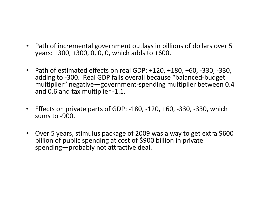- Path of incremental government outlays in billions of dollars over 5 years: +300, +300, 0, 0, 0, which adds to +600.
- Path of estimated effects on real GDP: +120, +180, +60, -330, -330, adding to -300. Real GDP falls overall because "balanced-budget multiplier" negative—government-spending multiplier between 0.4 and 0.6 and tax multiplier -1.1.
- $\bullet$  Effects on private parts of GDP: -180, -120, +60, -330, -330, which sums to -900.
- Over 5 years, stimulus package of 2009 was a way to get extra \$600 billion of public spending at cost of \$900 billion in private spending—probably not attractive deal.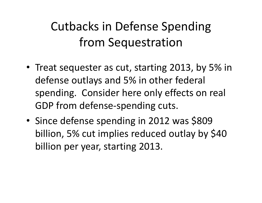### Cutbacks in Defense Spending from Sequestration

- Treat sequester as cut, starting 2013, by 5% in defense outlays and 5% in other federal spending. Consider here only effects on real GDP from defense-spending cuts.
- •• Since defense spending in 2012 was \$809 billion, 5% cut implies reduced outlay by \$40 billion per year, starting 2013.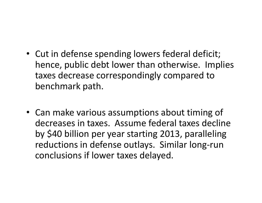- Cut in defense spending lowers federal deficit; hence, public debt lower than otherwise. Implies taxes decrease correspondingly compared to benchmark path.
- Can make various assumptions about timing of decreases in taxes. Assume federal taxes decline by \$40 billion per year starting 2013, paralleling reductions in defense outlays. Similar long-run conclusions if lower taxes delayed.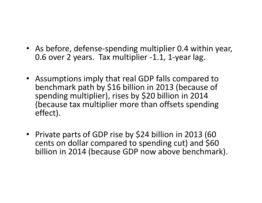- As before, defense-spending multiplier 0.4 within year, 0.6 over 2 years. Tax multiplier -1.1, 1-year lag.
- Assumptions imply that real GDP falls compared to benchmark path by \$16 billion in 2013 (because of spending multiplier), rises by \$20 billion in 2014 (because tax multiplier more than offsets spending effect).
- Private parts of GDP rise by \$24 billion in 2013 (60 cents on dollar compared to spending cut) and \$60 billion in 2014 (because GDP now above benchmark).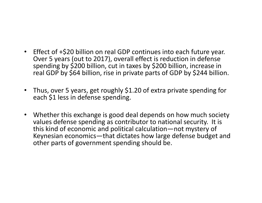- Effect of +\$20 billion on real GDP continues into each future year. Over 5 years (out to 2017), overall effect is reduction in defense spending by  $$200$  billion, cut in taxes by  $$200$  billion, increase in real GDP by \$64 billion, rise in private parts of GDP by \$244 billion.
- Thus, over 5 years, get roughly \$1.20 of extra private spending for each \$1 less in defense spending.
- Whether this exchange is good deal depends on how much society values defense spending as contributor to national security. It is this kind of economic and political calculation—not mystery of Keynesian economics—that dictates how large defense budget and other parts of government spending should be.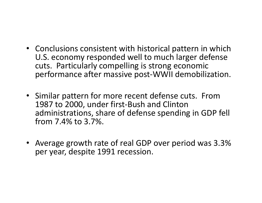- Conclusions consistent with historical pattern in which U.S. economy responded well to much larger defense cuts. Particularly compelling is strong economic performance after massive post-WWII demobilization.
- Similar pattern for more recent defense cuts. From 1987 to 2000, under first-Bush and Clinton administrations, share of defense spending in GDP fell from 7.4% to 3.7%.
- Average growth rate of real GDP over period was 3.3% per year, despite 1991 recession.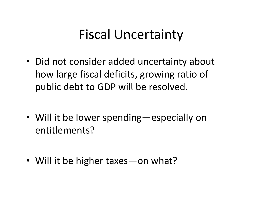#### Fiscal Uncertainty

- Did not consider added uncertainty about how large fiscal deficits, growing ratio of public debt to GDP will be resolved.
- Will it be lower spending—especially on entitlements?
- Will it be higher taxes on what?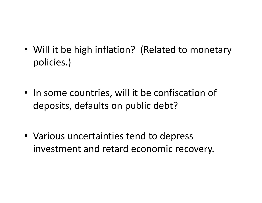- Will it be high inflation? (Related to monetary policies ) policies.)
- In some countries, will it be confiscation of deposits, defaults on public debt?
- Various uncertainties tend to depress investment and retard economic recovery.